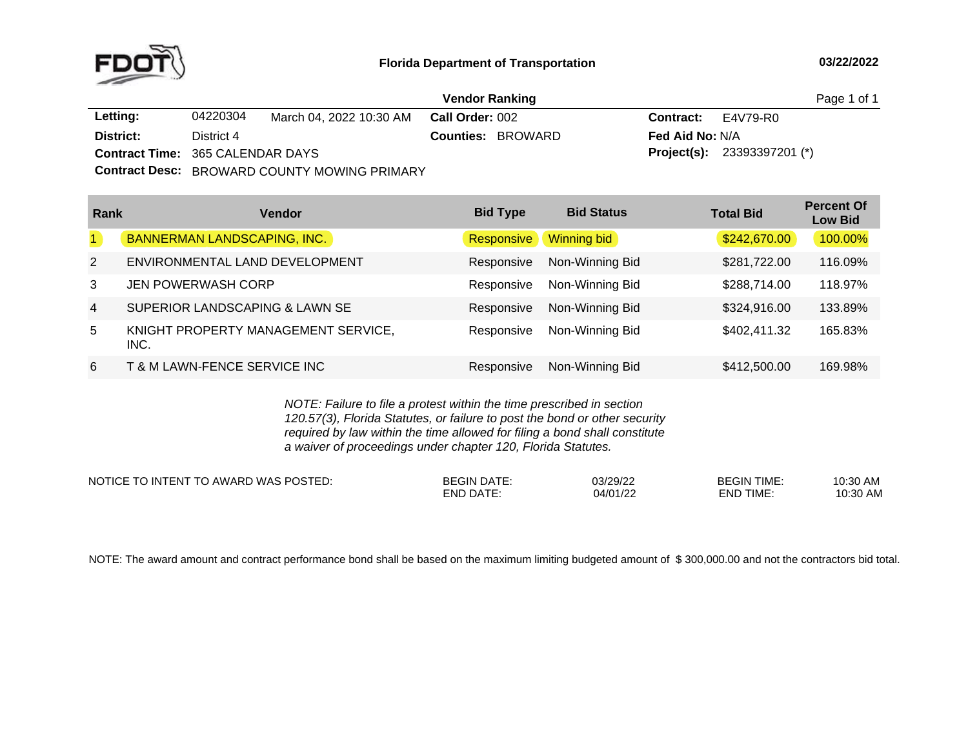

|                                         |            |                                              | <b>Vendor Ranking</b>    | Page 1 of 1                          |  |
|-----------------------------------------|------------|----------------------------------------------|--------------------------|--------------------------------------|--|
| Letting:                                | 04220304   | March 04. 2022 10:30 AM                      | Call Order: 002          | <b>Contract:</b> E4V79-R0            |  |
| District:                               | District 4 |                                              | <b>Counties: BROWARD</b> | <b>Fed Aid No: N/A</b>               |  |
| <b>Contract Time: 365 CALENDAR DAYS</b> |            |                                              |                          | <b>Project(s):</b> $23393397201$ (*) |  |
|                                         |            | Contract Desc: DDOWADD COUNTY MOWING DDIMADY |                          |                                      |  |

**Contract Desc:** BROWARD COUNTY MOWING PRIMARY

| Rank           | <b>Vendor</b>                               | <b>Bid Type</b> | <b>Bid Status</b> | <b>Total Bid</b> | <b>Percent Of</b><br><b>Low Bid</b> |
|----------------|---------------------------------------------|-----------------|-------------------|------------------|-------------------------------------|
| $\mathbf{1}$   | <b>BANNERMAN LANDSCAPING, INC.</b>          | Responsive      | Winning bid       | \$242,670.00     | 100.00%                             |
| $\overline{2}$ | ENVIRONMENTAL LAND DEVELOPMENT              | Responsive      | Non-Winning Bid   | \$281,722.00     | 116.09%                             |
| 3              | JEN POWERWASH CORP                          | Responsive      | Non-Winning Bid   | \$288,714.00     | 118.97%                             |
| $\overline{4}$ | SUPERIOR LANDSCAPING & LAWN SE              | Responsive      | Non-Winning Bid   | \$324,916.00     | 133.89%                             |
| 5              | KNIGHT PROPERTY MANAGEMENT SERVICE,<br>INC. | Responsive      | Non-Winning Bid   | \$402,411.32     | 165.83%                             |
| 6              | T & M LAWN-FENCE SERVICE INC                | Responsive      | Non-Winning Bid   | \$412,500.00     | 169.98%                             |

*NOTE: Failure to file <sup>a</sup> protest within the time prescribed in section 120.57(3), Florida Statutes, or failure to post the bond or other security required by law within the time allowed for filing <sup>a</sup> bond shall constitute a waiver of proceedings under chapter 120, Florida Statutes.*

NOTICE TO INTENT TO AWARD WAS POSTED: BEGIN DATE: 03/29/22 BEGIN TIME: 10:30 AM<br>END TIME: 10:30 AM 10:30 AM END DATE: DATE: 04/01/22 END TIME: 10:30 AM

NOTE: The award amount and contract performance bond shall be based on the maximum limiting budgeted amount of \$300,000.00 and not the contractors bid total.<br>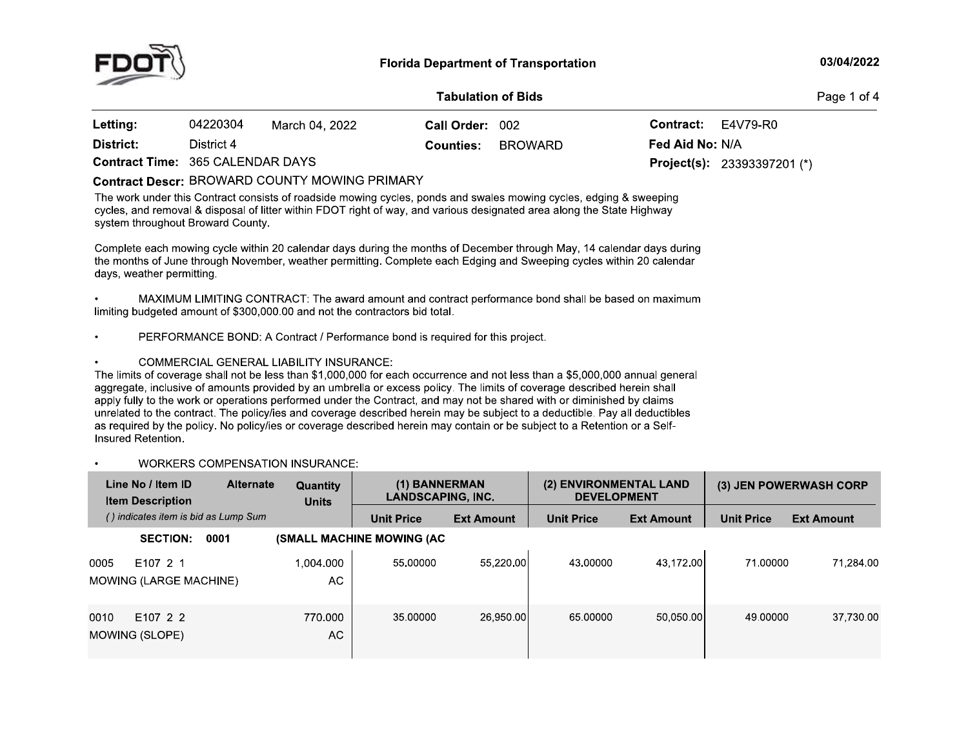

#### **Tabulation of Bids**

Page 1 of 4

| Letting:                                | 04220304   | March 04. 2022 | Call Order: 002  |         | <b>Contract:</b> $E4V79-R0$ |                                    |
|-----------------------------------------|------------|----------------|------------------|---------|-----------------------------|------------------------------------|
| District:                               | District 4 |                | <b>Counties:</b> | BROWARD | <b>Fed Aid No: N/A</b>      |                                    |
| <b>Contract Time: 365 CALENDAR DAYS</b> |            |                |                  |         |                             | <b>Project(s):</b> 23393397201 (*) |

### **Contract Descr: BROWARD COUNTY MOWING PRIMARY**

The work under this Contract consists of roadside mowing cycles, ponds and swales mowing cycles, edging & sweeping cycles, and removal & disposal of litter within FDOT right of way, and various designated area along the State Highway system throughout Broward County.

Complete each mowing cycle within 20 calendar days during the months of December through May, 14 calendar days during the months of June through November, weather permitting. Complete each Edging and Sweeping cycles within 20 calendar days, weather permitting.

MAXIMUM LIMITING CONTRACT: The award amount and contract performance bond shall be based on maximum limiting budgeted amount of \$300,000,00 and not the contractors bid total.

PERFORMANCE BOND: A Contract / Performance bond is required for this project.

**COMMERCIAL GENERAL LIABILITY INSURANCE:** 

The limits of coverage shall not be less than \$1,000,000 for each occurrence and not less than a \$5,000,000 annual general aggregate, inclusive of amounts provided by an umbrella or excess policy. The limits of coverage described herein shall apply fully to the work or operations performed under the Contract, and may not be shared with or diminished by claims unrelated to the contract. The policy/ies and coverage described herein may be subject to a deductible. Pay all deductibles as required by the policy. No policy/ies or coverage described herein may contain or be subject to a Retention or a Self-Insured Retention

#### **WORKERS COMPENSATION INSURANCE:**

|      | Line No / Item ID<br><b>Item Description</b> | <b>Alternate</b> | <b>Quantity</b><br><b>Units</b> | (1) BANNERMAN<br>LANDSCAPING. INC. |                   | (2) ENVIRONMENTAL LAND<br><b>DEVELOPMENT</b> |                   |                   | (3) JEN POWERWASH CORP |
|------|----------------------------------------------|------------------|---------------------------------|------------------------------------|-------------------|----------------------------------------------|-------------------|-------------------|------------------------|
|      | () indicates item is bid as Lump Sum         |                  |                                 | <b>Unit Price</b>                  | <b>Ext Amount</b> | <b>Unit Price</b>                            | <b>Ext Amount</b> | <b>Unit Price</b> | <b>Ext Amount</b>      |
|      | <b>SECTION:</b>                              | 0001             |                                 | <b>(SMALL MACHINE MOWING (AC)</b>  |                   |                                              |                   |                   |                        |
| 0005 | E107 2 1<br>MOWING (LARGE MACHINE)           |                  | 1.004.000<br>AC.                | 55,00000                           | 55.220.00         | 43.00000                                     | 43,172.00         | 71.00000          | 71.284.00              |
| 0010 | E107 2 2<br>MOWING (SLOPE)                   |                  | 770.000<br>AC.                  | 35,00000                           | 26,950,001        | 65,00000                                     | 50,050.00         | 49.00000          | 37,730.00              |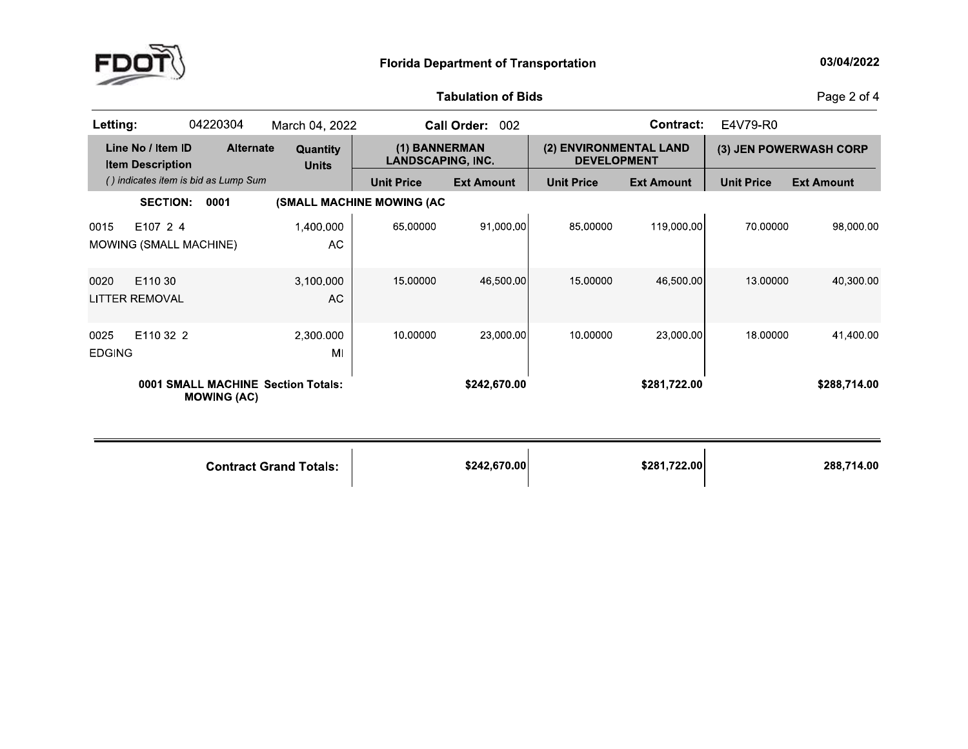

# **Tabulation of Bids**

Page 2 of 4

| Letting:              |                                              | 04220304                             | March 04, 2022                     |                                           | Call Order: 002   |                                              | <b>Contract:</b>  | E4V79-R0          |                        |
|-----------------------|----------------------------------------------|--------------------------------------|------------------------------------|-------------------------------------------|-------------------|----------------------------------------------|-------------------|-------------------|------------------------|
|                       | Line No / Item ID<br><b>Item Description</b> | <b>Alternate</b>                     | Quantity<br><b>Units</b>           | (1) BANNERMAN<br><b>LANDSCAPING, INC.</b> |                   | (2) ENVIRONMENTAL LAND<br><b>DEVELOPMENT</b> |                   |                   | (3) JEN POWERWASH CORP |
|                       |                                              | () indicates item is bid as Lump Sum |                                    | <b>Unit Price</b>                         | <b>Ext Amount</b> | <b>Unit Price</b>                            | <b>Ext Amount</b> | <b>Unit Price</b> | <b>Ext Amount</b>      |
|                       | <b>SECTION:</b>                              | 0001                                 |                                    | (SMALL MACHINE MOWING (AC                 |                   |                                              |                   |                   |                        |
| 0015                  | E107 2 4<br>MOWING (SMALL MACHINE)           |                                      | 1,400.000<br>AC                    | 65,00000                                  | 91,000.00         | 85,00000                                     | 119,000.00        | 70,00000          | 98,000.00              |
| 0020                  | E110 30<br><b>LITTER REMOVAL</b>             |                                      | 3,100.000<br><b>AC</b>             | 15.00000                                  | 46,500.00         | 15.00000                                     | 46,500.00         | 13.00000          | 40,300.00              |
| 0025<br><b>EDGING</b> | E110 32 2                                    |                                      | 2,300.000<br>MI                    | 10.00000                                  | 23,000.00         | 10.00000                                     | 23,000.00         | 18,00000          | 41,400.00              |
|                       |                                              | <b>MOWING (AC)</b>                   | 0001 SMALL MACHINE Section Totals: |                                           | \$242,670.00      |                                              | \$281,722.00      |                   | \$288,714.00           |
|                       |                                              |                                      | <b>Contract Grand Totals:</b>      |                                           | \$242,670.00      |                                              | \$281,722.00      |                   | 288,714.00             |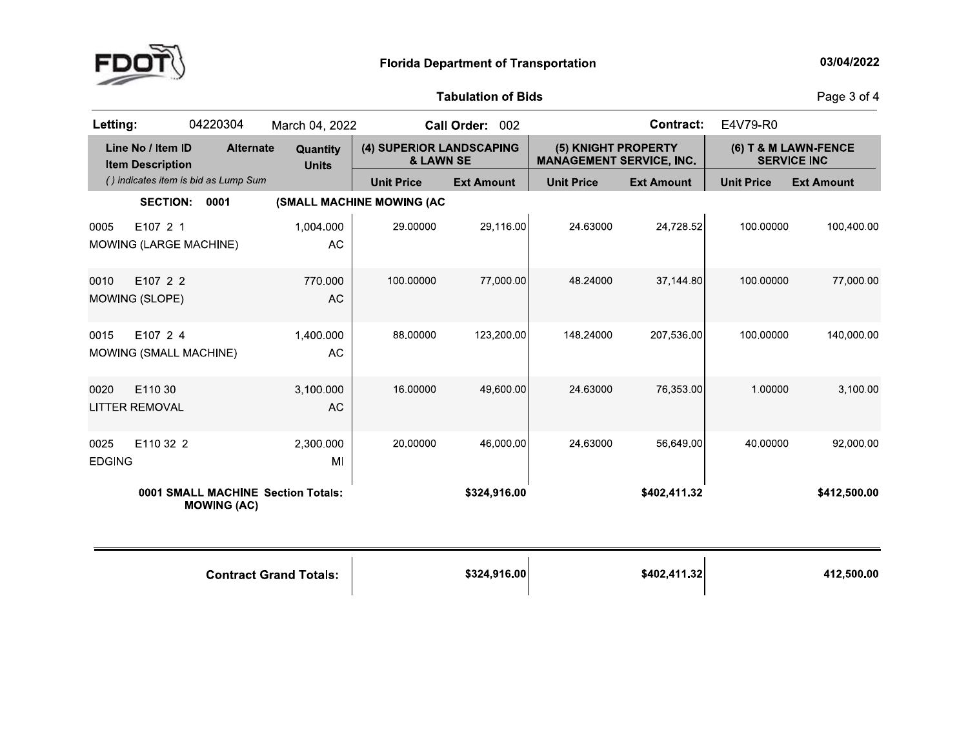

# **Tabulation of Bids**

Page 3 of 4

| Letting:              |                                              | 04220304                             | March 04, 2022                     |                                       | Call Order: 002   |                                                        | <b>Contract:</b>  | E4V79-R0          |                                            |
|-----------------------|----------------------------------------------|--------------------------------------|------------------------------------|---------------------------------------|-------------------|--------------------------------------------------------|-------------------|-------------------|--------------------------------------------|
|                       | Line No / Item ID<br><b>Item Description</b> | <b>Alternate</b>                     | Quantity<br><b>Units</b>           | (4) SUPERIOR LANDSCAPING<br>& LAWN SE |                   | (5) KNIGHT PROPERTY<br><b>MANAGEMENT SERVICE, INC.</b> |                   |                   | (6) T & M LAWN-FENCE<br><b>SERVICE INC</b> |
|                       |                                              | () indicates item is bid as Lump Sum |                                    | <b>Unit Price</b>                     | <b>Ext Amount</b> | <b>Unit Price</b>                                      | <b>Ext Amount</b> | <b>Unit Price</b> | <b>Ext Amount</b>                          |
|                       | <b>SECTION:</b>                              | 0001                                 |                                    | (SMALL MACHINE MOWING (AC             |                   |                                                        |                   |                   |                                            |
| 0005                  | E107 2 1<br>MOWING (LARGE MACHINE)           |                                      | 1,004.000<br>AC                    | 29.00000                              | 29,116.00         | 24.63000                                               | 24,728.52         | 100.00000         | 100.400.00                                 |
| 0010                  | E107 2 2<br>MOWING (SLOPE)                   |                                      | 770,000<br>AC                      | 100,00000                             | 77,000.00         | 48 24000                                               | 37,144.80         | 100.00000         | 77,000.00                                  |
| 0015                  | E107 2 4<br>MOWING (SMALL MACHINE)           |                                      | 1,400.000<br>AC                    | 88.00000                              | 123,200.00        | 148.24000                                              | 207,536.00        | 100.00000         | 140,000.00                                 |
| 0020                  | E110 30<br><b>LITTER REMOVAL</b>             |                                      | 3,100.000<br><b>AC</b>             | 16.00000                              | 49,600.00         | 24.63000                                               | 76,353.00         | 1.00000           | 3,100.00                                   |
| 0025<br><b>EDGING</b> | E110 32 2                                    |                                      | 2,300 000<br>MI                    | 20,00000                              | 46,000.00         | 24 63000                                               | 56.649.00         | 40.00000          | 92,000.00                                  |
|                       |                                              | <b>MOWING (AC)</b>                   | 0001 SMALL MACHINE Section Totals: |                                       | \$324,916.00      |                                                        | \$402,411.32      |                   | \$412,500.00                               |
|                       |                                              |                                      | <b>Contract Grand Totals:</b>      |                                       | \$324,916.00      |                                                        | \$402,411 32      |                   | 412,500.00                                 |